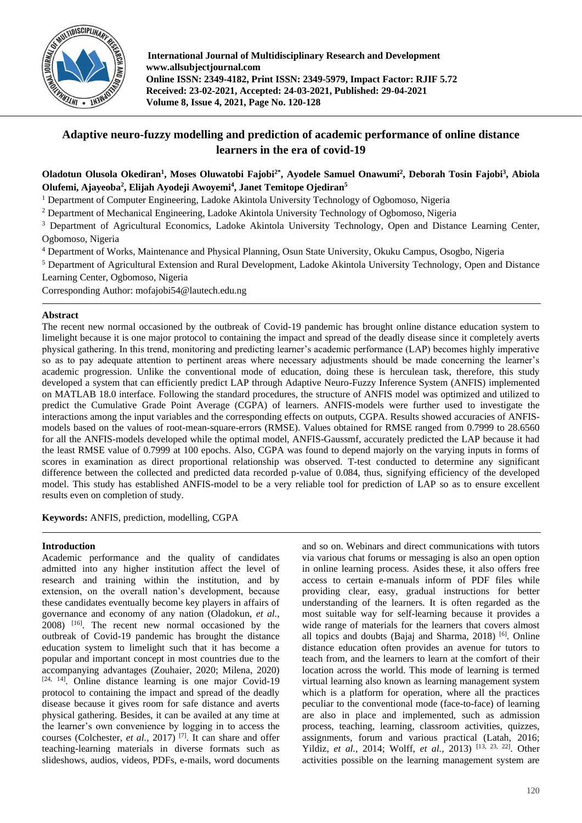

# **Adaptive neuro-fuzzy modelling and prediction of academic performance of online distance learners in the era of covid-19**

## **Oladotun Olusola Okediran<sup>1</sup> , Moses Oluwatobi Fajobi2\* , Ayodele Samuel Onawumi<sup>2</sup> , Deborah Tosin Fajobi<sup>3</sup> , Abiola Olufemi, Ajayeoba<sup>2</sup> , Elijah Ayodeji Awoyemi<sup>4</sup> , Janet Temitope Ojediran<sup>5</sup>**

<sup>1</sup> Department of Computer Engineering, Ladoke Akintola University Technology of Ogbomoso, Nigeria

<sup>2</sup> Department of Mechanical Engineering, Ladoke Akintola University Technology of Ogbomoso, Nigeria

<sup>3</sup> Department of Agricultural Economics, Ladoke Akintola University Technology, Open and Distance Learning Center, Ogbomoso, Nigeria

<sup>4</sup> Department of Works, Maintenance and Physical Planning, Osun State University, Okuku Campus, Osogbo, Nigeria

<sup>5</sup> Department of Agricultural Extension and Rural Development, Ladoke Akintola University Technology, Open and Distance Learning Center, Ogbomoso, Nigeria

Corresponding Author: mofajobi54@lautech.edu.ng

## **Abstract**

The recent new normal occasioned by the outbreak of Covid-19 pandemic has brought online distance education system to limelight because it is one major protocol to containing the impact and spread of the deadly disease since it completely averts physical gathering. In this trend, monitoring and predicting learner's academic performance (LAP) becomes highly imperative so as to pay adequate attention to pertinent areas where necessary adjustments should be made concerning the learner's academic progression. Unlike the conventional mode of education, doing these is herculean task, therefore, this study developed a system that can efficiently predict LAP through Adaptive Neuro-Fuzzy Inference System (ANFIS) implemented on MATLAB 18.0 interface. Following the standard procedures, the structure of ANFIS model was optimized and utilized to predict the Cumulative Grade Point Average (CGPA) of learners. ANFIS-models were further used to investigate the interactions among the input variables and the corresponding effects on outputs, CGPA. Results showed accuracies of ANFISmodels based on the values of root-mean-square-errors (RMSE). Values obtained for RMSE ranged from 0.7999 to 28.6560 for all the ANFIS-models developed while the optimal model, ANFIS-Gaussmf, accurately predicted the LAP because it had the least RMSE value of 0.7999 at 100 epochs. Also, CGPA was found to depend majorly on the varying inputs in forms of scores in examination as direct proportional relationship was observed. T-test conducted to determine any significant difference between the collected and predicted data recorded p-value of 0.084, thus, signifying efficiency of the developed model. This study has established ANFIS-model to be a very reliable tool for prediction of LAP so as to ensure excellent results even on completion of study.

**Keywords:** ANFIS, prediction, modelling, CGPA

#### **Introduction**

Academic performance and the quality of candidates admitted into any higher institution affect the level of research and training within the institution, and by extension, on the overall nation's development, because these candidates eventually become key players in affairs of governance and economy of any nation (Oladokun, *et al.*, 2008) [16] . The recent new normal occasioned by the outbreak of Covid-19 pandemic has brought the distance education system to limelight such that it has become a popular and important concept in most countries due to the accompanying advantages (Zouhaier, 2020; Milena, 2020) [24, 14] . Online distance learning is one major Covid-19 protocol to containing the impact and spread of the deadly disease because it gives room for safe distance and averts physical gathering. Besides, it can be availed at any time at the learner's own convenience by logging in to access the courses (Colchester, *et al.,* 2017) [7] . It can share and offer teaching-learning materials in diverse formats such as slideshows, audios, videos, PDFs, e-mails, word documents

and so on. Webinars and direct communications with tutors via various chat forums or messaging is also an open option in online learning process. Asides these, it also offers free access to certain e-manuals inform of PDF files while providing clear, easy, gradual instructions for better understanding of the learners. It is often regarded as the most suitable way for self-learning because it provides a wide range of materials for the learners that covers almost all topics and doubts (Bajaj and Sharma, 2018)<sup>[6]</sup>. Online distance education often provides an avenue for tutors to teach from, and the learners to learn at the comfort of their location across the world. This mode of learning is termed virtual learning also known as learning management system which is a platform for operation, where all the practices peculiar to the conventional mode (face-to-face) of learning are also in place and implemented, such as admission process, teaching, learning, classroom activities, quizzes, assignments, forum and various practical (Latah, 2016; Yildiz, *et al.,* 2014; Wolff, *et al.,* 2013) [13, 23, 22] . Other activities possible on the learning management system are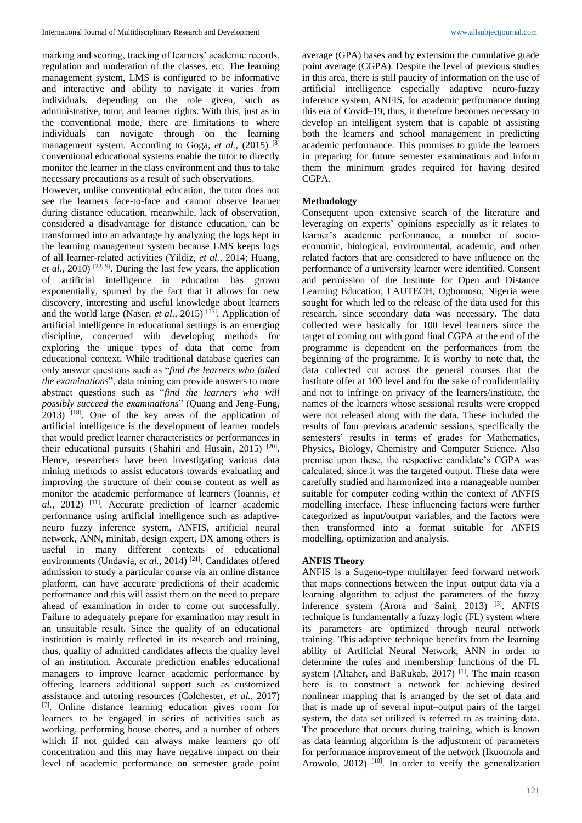marking and scoring, tracking of learners' academic records, regulation and moderation of the classes, etc. The learning management system, LMS is configured to be informative and interactive and ability to navigate it varies from individuals, depending on the role given, such as administrative, tutor, and learner rights. With this, just as in the conventional mode, there are limitations to where individuals can navigate through on the learning management system. According to Goga, *et al.*, (2015) <sup>[8]</sup> conventional educational systems enable the tutor to directly monitor the learner in the class environment and thus to take necessary precautions as a result of such observations.

However, unlike conventional education, the tutor does not see the learners face-to-face and cannot observe learner during distance education, meanwhile, lack of observation, considered a disadvantage for distance education, can be transformed into an advantage by analyzing the logs kept in the learning management system because LMS keeps logs of all learner-related activities (Yildiz, *et al.*, 2014; Huang, *et al.*, 2010) <sup>[23, 9]</sup>. During the last few years, the application of artificial intelligence in education has grown exponentially, spurred by the fact that it allows for new discovery, interesting and useful knowledge about learners and the world large (Naser, *et al.*, 2015)<sup>[15]</sup>. Application of artificial intelligence in educational settings is an emerging discipline, concerned with developing methods for exploring the unique types of data that come from educational context. While traditional database queries can only answer questions such as "*find the learners who failed the examinations*", data mining can provide answers to more abstract questions such as "*find the learners who will possibly succeed the examinations*" (Quang and Jeng-Fung,  $2013$ ) <sup>[18]</sup>. One of the key areas of the application of artificial intelligence is the development of learner models that would predict learner characteristics or performances in their educational pursuits (Shahiri and Husain, 2015)<sup>[20]</sup>. Hence, researchers have been investigating various data mining methods to assist educators towards evaluating and improving the structure of their course content as well as monitor the academic performance of learners (Ioannis, *et*  al., 2012)<sup>[11]</sup>. Accurate prediction of learner academic performance using artificial intelligence such as adaptiveneuro fuzzy inference system, ANFIS, artificial neural network, ANN, minitab, design expert, DX among others is useful in many different contexts of educational environments (Undavia, et al., 2014)<sup>[21]</sup>. Candidates offered admission to study a particular course via an online distance platform, can have accurate predictions of their academic performance and this will assist them on the need to prepare ahead of examination in order to come out successfully. Failure to adequately prepare for examination may result in an unsuitable result. Since the quality of an educational institution is mainly reflected in its research and training, thus, quality of admitted candidates affects the quality level of an institution. Accurate prediction enables educational managers to improve learner academic performance by offering learners additional support such as customized assistance and tutoring resources (Colchester, *et al.,* 2017) [7] . Online distance learning education gives room for learners to be engaged in series of activities such as working, performing house chores, and a number of others which if not guided can always make learners go off concentration and this may have negative impact on their level of academic performance on semester grade point

average (GPA) bases and by extension the cumulative grade point average (CGPA). Despite the level of previous studies in this area, there is still paucity of information on the use of artificial intelligence especially adaptive neuro-fuzzy inference system, ANFIS, for academic performance during this era of Covid–19, thus, it therefore becomes necessary to develop an intelligent system that is capable of assisting both the learners and school management in predicting academic performance. This promises to guide the learners in preparing for future semester examinations and inform them the minimum grades required for having desired CGPA.

#### **Methodology**

Consequent upon extensive search of the literature and leveraging on experts' opinions especially as it relates to learner's academic performance, a number of socioeconomic, biological, environmental, academic, and other related factors that are considered to have influence on the performance of a university learner were identified. Consent and permission of the Institute for Open and Distance Learning Education, LAUTECH, Ogbomoso, Nigeria were sought for which led to the release of the data used for this research, since secondary data was necessary. The data collected were basically for 100 level learners since the target of coming out with good final CGPA at the end of the programme is dependent on the performances from the beginning of the programme. It is worthy to note that, the data collected cut across the general courses that the institute offer at 100 level and for the sake of confidentiality and not to infringe on privacy of the learners/institute, the names of the learners whose sessional results were cropped were not released along with the data. These included the results of four previous academic sessions, specifically the semesters' results in terms of grades for Mathematics, Physics, Biology, Chemistry and Computer Science. Also premise upon these, the respective candidate's CGPA was calculated, since it was the targeted output. These data were carefully studied and harmonized into a manageable number suitable for computer coding within the context of ANFIS modelling interface. These influencing factors were further categorized as input/output variables, and the factors were then transformed into a format suitable for ANFIS modelling, optimization and analysis.

## **ANFIS Theory**

ANFIS is a Sugeno-type multilayer feed forward network that maps connections between the input–output data via a learning algorithm to adjust the parameters of the fuzzy inference system (Arora and Saini, 2013)<sup>[3]</sup>. ANFIS technique is fundamentally a fuzzy logic (FL) system where its parameters are optimized through neural network training. This adaptive technique benefits from the learning ability of Artificial Neural Network, ANN in order to determine the rules and membership functions of the FL system (Altaher, and BaRukab, 2017)<sup>[1]</sup>. The main reason here is to construct a network for achieving desired nonlinear mapping that is arranged by the set of data and that is made up of several input–output pairs of the target system, the data set utilized is referred to as training data. The procedure that occurs during training, which is known as data learning algorithm is the adjustment of parameters for performance improvement of the network (Ikuomola and Arowolo, 2012)<sup>[10]</sup>. In order to verify the generalization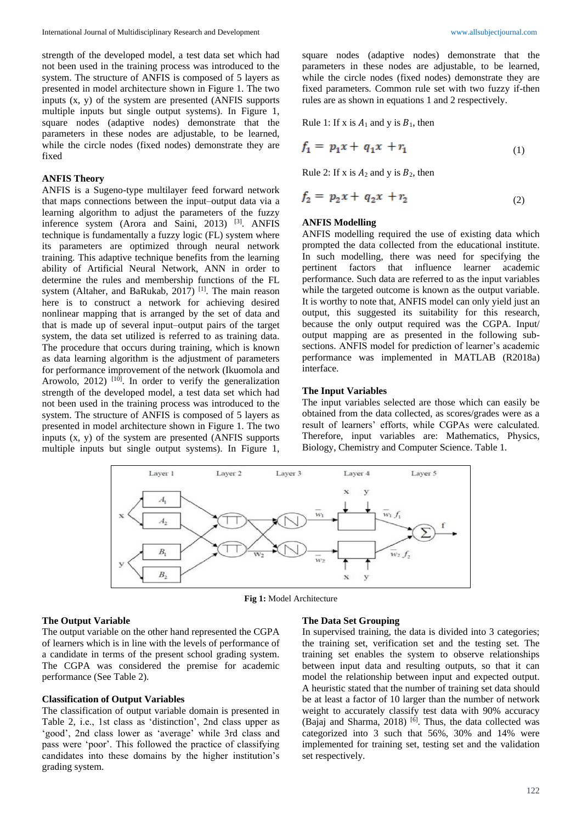strength of the developed model, a test data set which had not been used in the training process was introduced to the system. The structure of ANFIS is composed of 5 layers as presented in model architecture shown in Figure 1. The two inputs (x, y) of the system are presented (ANFIS supports multiple inputs but single output systems). In Figure 1, square nodes (adaptive nodes) demonstrate that the parameters in these nodes are adjustable, to be learned, while the circle nodes (fixed nodes) demonstrate they are fixed

## **ANFIS Theory**

ANFIS is a Sugeno-type multilayer feed forward network that maps connections between the input–output data via a learning algorithm to adjust the parameters of the fuzzy inference system (Arora and Saini, 2013)<sup>[3]</sup>. ANFIS technique is fundamentally a fuzzy logic (FL) system where its parameters are optimized through neural network training. This adaptive technique benefits from the learning ability of Artificial Neural Network, ANN in order to determine the rules and membership functions of the FL system (Altaher, and BaRukab, 2017)<sup>[1]</sup>. The main reason here is to construct a network for achieving desired nonlinear mapping that is arranged by the set of data and that is made up of several input–output pairs of the target system, the data set utilized is referred to as training data. The procedure that occurs during training, which is known as data learning algorithm is the adjustment of parameters for performance improvement of the network (Ikuomola and Arowolo, 2012)<sup>[10]</sup>. In order to verify the generalization strength of the developed model, a test data set which had not been used in the training process was introduced to the system. The structure of ANFIS is composed of 5 layers as presented in model architecture shown in Figure 1. The two inputs (x, y) of the system are presented (ANFIS supports multiple inputs but single output systems). In Figure 1,

square nodes (adaptive nodes) demonstrate that the parameters in these nodes are adjustable, to be learned, while the circle nodes (fixed nodes) demonstrate they are fixed parameters. Common rule set with two fuzzy if-then rules are as shown in equations 1 and 2 respectively.

Rule 1: If x is  $A_1$  and y is  $B_1$ , then

$$
f_1 = p_1 x + q_1 x + r_1 \tag{1}
$$

Rule 2: If x is  $A_2$  and y is  $B_2$ , then

$$
f_2 = p_2 x + q_2 x + r_2 \tag{2}
$$

#### **ANFIS Modelling**

ANFIS modelling required the use of existing data which prompted the data collected from the educational institute. In such modelling, there was need for specifying the pertinent factors that influence learner academic performance. Such data are referred to as the input variables while the targeted outcome is known as the output variable. It is worthy to note that, ANFIS model can only yield just an output, this suggested its suitability for this research, because the only output required was the CGPA. Input/ output mapping are as presented in the following subsections. ANFIS model for prediction of learner's academic performance was implemented in MATLAB (R2018a) interface.

#### **The Input Variables**

The input variables selected are those which can easily be obtained from the data collected, as scores/grades were as a result of learners' efforts, while CGPAs were calculated. Therefore, input variables are: Mathematics, Physics, Biology, Chemistry and Computer Science. Table 1.



**Fig 1:** Model Architecture

#### **The Output Variable**

The output variable on the other hand represented the CGPA of learners which is in line with the levels of performance of a candidate in terms of the present school grading system. The CGPA was considered the premise for academic performance (See Table 2).

## **Classification of Output Variables**

The classification of output variable domain is presented in Table 2, i.e., 1st class as 'distinction', 2nd class upper as 'good', 2nd class lower as 'average' while 3rd class and pass were 'poor'. This followed the practice of classifying candidates into these domains by the higher institution's grading system.

#### **The Data Set Grouping**

In supervised training, the data is divided into 3 categories; the training set, verification set and the testing set. The training set enables the system to observe relationships between input data and resulting outputs, so that it can model the relationship between input and expected output. A heuristic stated that the number of training set data should be at least a factor of 10 larger than the number of network weight to accurately classify test data with 90% accuracy (Bajaj and Sharma, 2018) [6] . Thus, the data collected was categorized into 3 such that 56%, 30% and 14% were implemented for training set, testing set and the validation set respectively.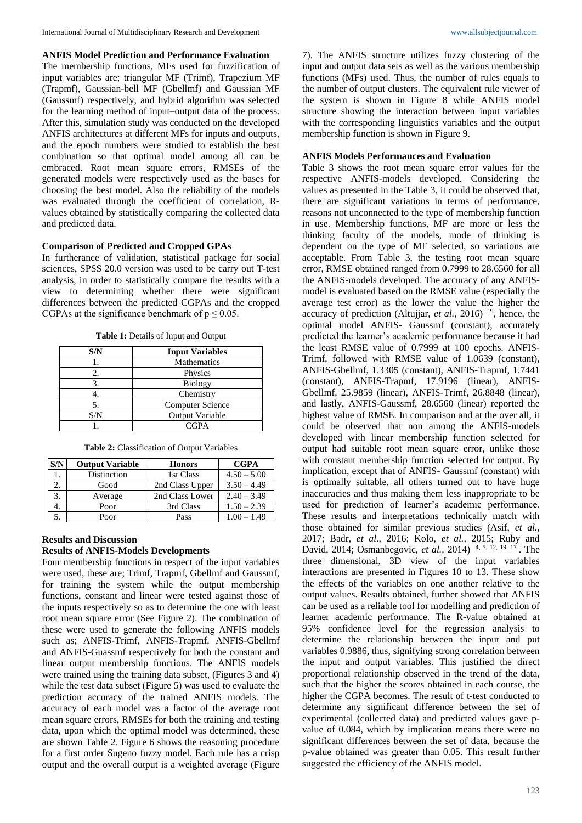**ANFIS Model Prediction and Performance Evaluation**

The membership functions, MFs used for fuzzification of input variables are; triangular MF (Trimf), Trapezium MF (Trapmf), Gaussian-bell MF (Gbellmf) and Gaussian MF (Gaussmf) respectively, and hybrid algorithm was selected for the learning method of input–output data of the process. After this, simulation study was conducted on the developed ANFIS architectures at different MFs for inputs and outputs, and the epoch numbers were studied to establish the best combination so that optimal model among all can be embraced. Root mean square errors, RMSEs of the generated models were respectively used as the bases for choosing the best model. Also the reliability of the models was evaluated through the coefficient of correlation, Rvalues obtained by statistically comparing the collected data and predicted data.

#### **Comparison of Predicted and Cropped GPAs**

In furtherance of validation, statistical package for social sciences, SPSS 20.0 version was used to be carry out T-test analysis, in order to statistically compare the results with a view to determining whether there were significant differences between the predicted CGPAs and the cropped CGPAs at the significance benchmark of  $p \le 0.05$ .

| Table 1: Details of Input and Output |
|--------------------------------------|
|--------------------------------------|

| S/N | <b>Input Variables</b>  |  |  |
|-----|-------------------------|--|--|
|     | <b>Mathematics</b>      |  |  |
|     | Physics                 |  |  |
|     | <b>Biology</b>          |  |  |
|     | Chemistry               |  |  |
|     | <b>Computer Science</b> |  |  |
| S/N | Output Variable         |  |  |
|     | CGPA                    |  |  |

**Table 2:** Classification of Output Variables

| S/N | <b>Output Variable</b> | <b>Honors</b>   | <b>CGPA</b>   |
|-----|------------------------|-----------------|---------------|
|     | Distinction            | 1st Class       | $4.50 - 5.00$ |
|     | Good                   | 2nd Class Upper | $3.50 - 4.49$ |
| 3.  | Average                | 2nd Class Lower | $2.40 - 3.49$ |
|     | Poor                   | 3rd Class       | $1.50 - 2.39$ |
|     | Poor                   | Pass            | $1.00 - 1.49$ |

#### **Results and Discussion Results of ANFIS-Models Developments**

Four membership functions in respect of the input variables were used, these are; Trimf, Trapmf, Gbellmf and Gaussmf, for training the system while the output membership functions, constant and linear were tested against those of the inputs respectively so as to determine the one with least root mean square error (See Figure 2). The combination of these were used to generate the following ANFIS models such as; ANFIS-Trimf, ANFIS-Trapmf, ANFIS-Gbellmf and ANFIS-Guassmf respectively for both the constant and linear output membership functions. The ANFIS models were trained using the training data subset, (Figures 3 and 4) while the test data subset (Figure 5) was used to evaluate the prediction accuracy of the trained ANFIS models. The accuracy of each model was a factor of the average root mean square errors, RMSEs for both the training and testing data, upon which the optimal model was determined, these are shown Table 2. Figure 6 shows the reasoning procedure for a first order Sugeno fuzzy model. Each rule has a crisp output and the overall output is a weighted average (Figure

7). The ANFIS structure utilizes fuzzy clustering of the input and output data sets as well as the various membership functions (MFs) used. Thus, the number of rules equals to the number of output clusters. The equivalent rule viewer of the system is shown in Figure 8 while ANFIS model structure showing the interaction between input variables with the corresponding linguistics variables and the output membership function is shown in Figure 9.

## **ANFIS Models Performances and Evaluation**

Table 3 shows the root mean square error values for the respective ANFIS-models developed. Considering the values as presented in the Table 3, it could be observed that, there are significant variations in terms of performance, reasons not unconnected to the type of membership function in use. Membership functions, MF are more or less the thinking faculty of the models, mode of thinking is dependent on the type of MF selected, so variations are acceptable. From Table 3, the testing root mean square error, RMSE obtained ranged from 0.7999 to 28.6560 for all the ANFIS-models developed. The accuracy of any ANFISmodel is evaluated based on the RMSE value (especially the average test error) as the lower the value the higher the accuracy of prediction (Altujjar, *et al.,* 2016) [2] , hence, the optimal model ANFIS- Gaussmf (constant), accurately predicted the learner's academic performance because it had the least RMSE value of 0.7999 at 100 epochs. ANFIS-Trimf, followed with RMSE value of 1.0639 (constant), ANFIS-Gbellmf, 1.3305 (constant), ANFIS-Trapmf, 1.7441 (constant), ANFIS-Trapmf, 17.9196 (linear), ANFIS-Gbellmf, 25.9859 (linear), ANFIS-Trimf, 26.8848 (linear), and lastly, ANFIS-Gaussmf, 28.6560 (linear) reported the highest value of RMSE. In comparison and at the over all, it could be observed that non among the ANFIS-models developed with linear membership function selected for output had suitable root mean square error, unlike those with constant membership function selected for output. By implication, except that of ANFIS- Gaussmf (constant) with is optimally suitable, all others turned out to have huge inaccuracies and thus making them less inappropriate to be used for prediction of learner's academic performance. These results and interpretations technically match with those obtained for similar previous studies (Asif, *et al.,* 2017; Badr, *et al.,* 2016; Kolo, *et al.,* 2015; Ruby and David, 2014; Osmanbegovic, *et al.,* 2014) [4, 5, 12, 19, 17] . The three dimensional, 3D view of the input variables interactions are presented in Figures 10 to 13. These show the effects of the variables on one another relative to the output values. Results obtained, further showed that ANFIS can be used as a reliable tool for modelling and prediction of learner academic performance. The R-value obtained at 95% confidence level for the regression analysis to determine the relationship between the input and put variables 0.9886, thus, signifying strong correlation between the input and output variables. This justified the direct proportional relationship observed in the trend of the data, such that the higher the scores obtained in each course, the higher the CGPA becomes. The result of t-test conducted to determine any significant difference between the set of experimental (collected data) and predicted values gave pvalue of 0.084, which by implication means there were no significant differences between the set of data, because the p-value obtained was greater than 0.05. This result further suggested the efficiency of the ANFIS model.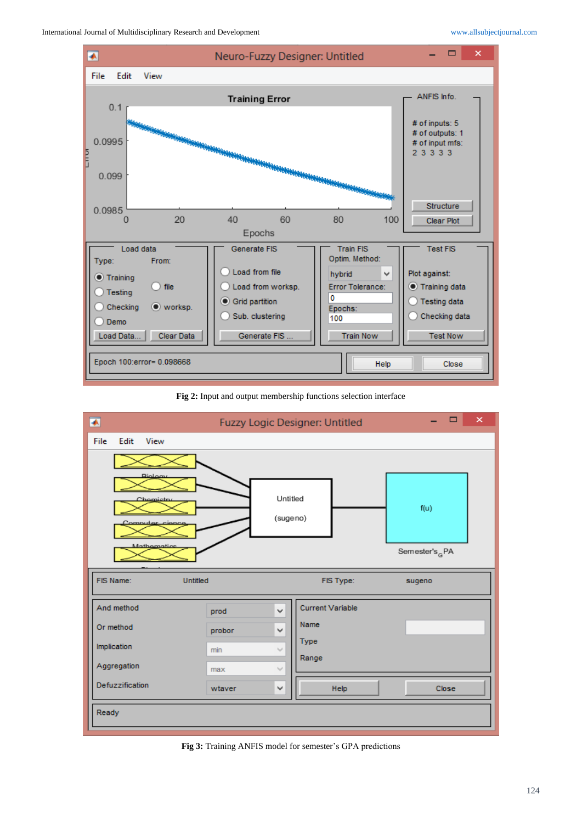

**Fig 2:** Input and output membership functions selection interface



**Fig 3:** Training ANFIS model for semester's GPA predictions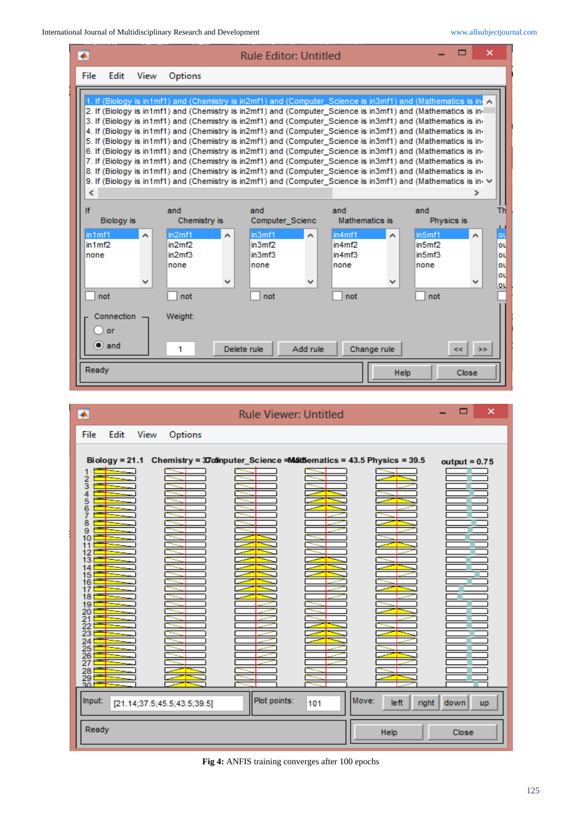| $\overline{\bullet}$                                              |                          |                                                                                                                                                                                                                                                                                                                                                                                                                                                                                                                                                                                                                                                                                                                                                                                                                                                                                                                                                                                                                                                     |                                                                       | <b>Rule Editor: Untitled</b> |                                                                                                |                     |                                                  | E            | ×                                                  |
|-------------------------------------------------------------------|--------------------------|-----------------------------------------------------------------------------------------------------------------------------------------------------------------------------------------------------------------------------------------------------------------------------------------------------------------------------------------------------------------------------------------------------------------------------------------------------------------------------------------------------------------------------------------------------------------------------------------------------------------------------------------------------------------------------------------------------------------------------------------------------------------------------------------------------------------------------------------------------------------------------------------------------------------------------------------------------------------------------------------------------------------------------------------------------|-----------------------------------------------------------------------|------------------------------|------------------------------------------------------------------------------------------------|---------------------|--------------------------------------------------|--------------|----------------------------------------------------|
| Edit<br>File                                                      | View                     | Options                                                                                                                                                                                                                                                                                                                                                                                                                                                                                                                                                                                                                                                                                                                                                                                                                                                                                                                                                                                                                                             |                                                                       |                              |                                                                                                |                     |                                                  |              |                                                    |
| ∢                                                                 |                          | 1. If (Biology is in1mf1) and (Chemistry is in2mf1) and (Computer Science is in3mf1) and (Mathematics is in 7<br>2. If (Biology is in1mf1) and (Chemistry is in2mf1) and (Computer_Science is in3mf1) and (Mathematics is in-<br>3. If (Biology is in1mf1) and (Chemistry is in2mf1) and (Computer Science is in3mf1) and (Mathematics is in-<br>4. If (Biology is in1mf1) and (Chemistry is in2mf1) and (Computer Science is in3mf1) and (Mathematics is in-<br>5. If (Biology is in1mf1) and (Chemistry is in2mf1) and (Computer Science is in3mf1) and (Mathematics is in-<br>6. If (Biology is in1mf1) and (Chemistry is in2mf1) and (Computer Science is in3mf1) and (Mathematics is in-<br>7. If (Biology is in1mf1) and (Chemistry is in2mf1) and (Computer_Science is in3mf1) and (Mathematics is in-<br>8. If (Biology is in1mf1) and (Chemistry is in2mf1) and (Computer Science is in3mf1) and (Mathematics is in-<br>9. If (Biology is in1mf1) and (Chemistry is in2mf1) and (Computer Science is in3mf1) and (Mathematics is in $\vee$ |                                                                       |                              |                                                                                                |                     |                                                  |              |                                                    |
| If<br><b>Biology</b> is<br>in 1 m f 1<br>in 1 m f2<br>none<br>not | $\hat{\phantom{a}}$<br>₩ | and<br>Chemistry is<br>in2 <sub>m</sub> f1<br>in2mf2<br>in2 <sub>m</sub> f3<br>none<br>not                                                                                                                                                                                                                                                                                                                                                                                                                                                                                                                                                                                                                                                                                                                                                                                                                                                                                                                                                          | and<br>in3mf1<br>$\hat{\phantom{a}}$<br>in3mf2<br>in3mf3<br>none<br>₩ | Computer Scienc<br>not       | and<br>Mathematics is<br>in 4mf1<br>in 4mf2<br>in 4 <sub>m</sub> f <sub>3</sub><br>none<br>not |                     | and<br>in5mf1<br>in5mf2<br>in5mf3<br>none<br>not | Physics is   | Th<br>ب<br><u>ot</u><br>ou<br>ou<br>οú<br>ou<br>ou |
| Connection<br>or<br>$\bullet$ and<br>Ready                        |                          | Weight:<br>1                                                                                                                                                                                                                                                                                                                                                                                                                                                                                                                                                                                                                                                                                                                                                                                                                                                                                                                                                                                                                                        | Delete rule                                                           | Add rule                     |                                                                                                | Change rule<br>Help |                                                  | kk.<br>Close | 288                                                |

| $\overline{\bullet}$                                                                                                                                                | <b>Rule Viewer: Untitled</b>                                                     | ▬<br>×                                      |
|---------------------------------------------------------------------------------------------------------------------------------------------------------------------|----------------------------------------------------------------------------------|---------------------------------------------|
| Edit<br>View<br>Options<br>File                                                                                                                                     |                                                                                  |                                             |
| 2<br>3<br>4<br>5<br>6<br>7<br>8<br>9<br>10<br>11<br>13<br>14<br>15<br>16<br>17<br>18<br>19<br>20<br>21<br>22<br>23<br>24<br>25<br>26<br>27<br>28<br>$\frac{29}{30}$ | Biology = 21.1 Chemistry = 37cmputer_Science = M5tbematics = 43.5 Physics = 39.5 | $output = 0.75$                             |
| Input:<br>[21.14; 37.5; 45.5; 43.5; 39.5]                                                                                                                           | Plot points:<br>101                                                              | Move:<br>left<br>right<br>down<br><b>up</b> |
| Ready                                                                                                                                                               |                                                                                  | Help<br>Close                               |

**Fig 4:** ANFIS training converges after 100 epochs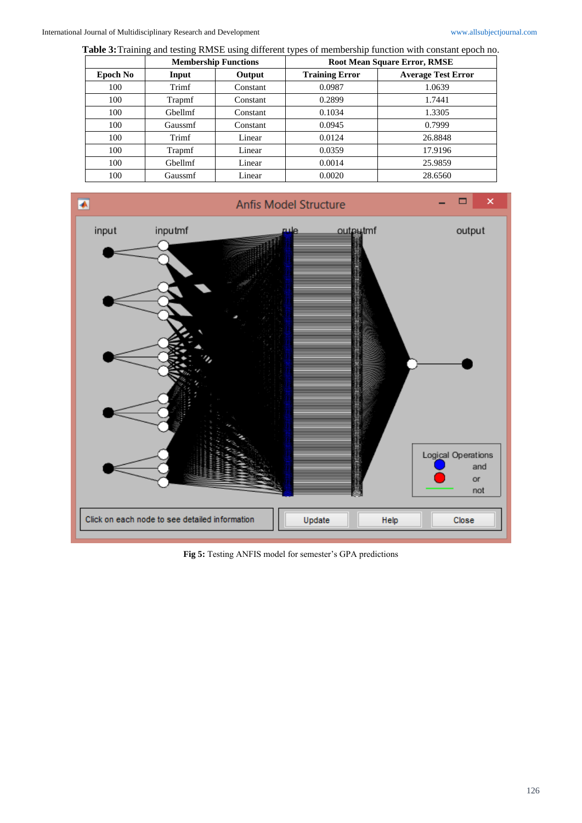**Table 3:**Training and testing RMSE using different types of membership function with constant epoch no.

|          | <b>Membership Functions</b> |          | <b>Root Mean Square Error, RMSE</b> |                           |  |
|----------|-----------------------------|----------|-------------------------------------|---------------------------|--|
| Epoch No | Input                       | Output   | <b>Training Error</b>               | <b>Average Test Error</b> |  |
| 100      | Trimf                       | Constant | 0.0987                              | 1.0639                    |  |
| 100      | Trapmf                      | Constant | 0.2899                              | 1.7441                    |  |
| 100      | Gbellmf                     | Constant | 0.1034                              | 1.3305                    |  |
| 100      | Gaussmf                     | Constant | 0.0945                              | 0.7999                    |  |
| 100      | Trimf                       | Linear   | 0.0124                              | 26.8848                   |  |
| 100      | Trapmf                      | Linear   | 0.0359                              | 17.9196                   |  |
| 100      | Gbellmf                     | Linear   | 0.0014                              | 25.9859                   |  |
| 100      | Gaussmf                     | Linear   | 0.0020                              | 28.6560                   |  |



**Fig 5:** Testing ANFIS model for semester's GPA predictions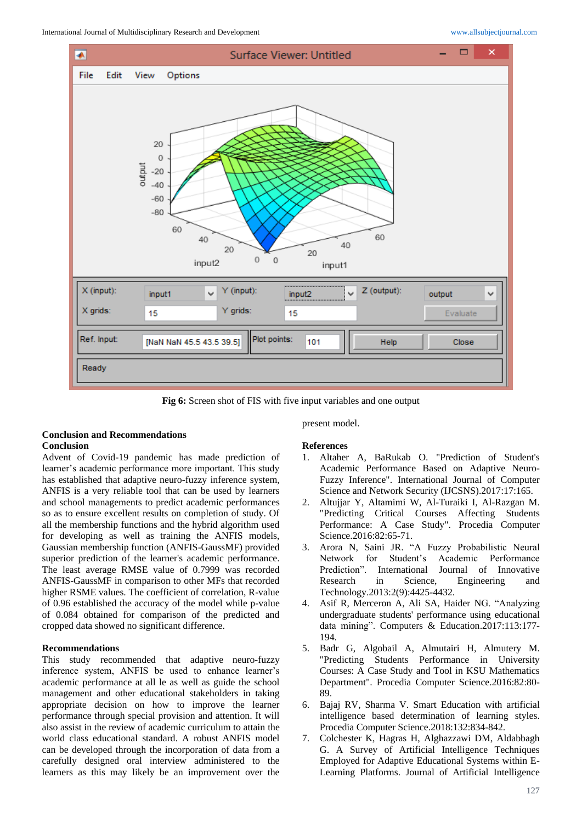

**Fig 6:** Screen shot of FIS with five input variables and one output

## **Conclusion and Recommendations Conclusion**

Advent of Covid-19 pandemic has made prediction of learner's academic performance more important. This study has established that adaptive neuro-fuzzy inference system, ANFIS is a very reliable tool that can be used by learners and school managements to predict academic performances so as to ensure excellent results on completion of study. Of all the membership functions and the hybrid algorithm used for developing as well as training the ANFIS models, Gaussian membership function (ANFIS-GaussMF) provided superior prediction of the learner's academic performance. The least average RMSE value of 0.7999 was recorded ANFIS-GaussMF in comparison to other MFs that recorded higher RSME values. The coefficient of correlation, R-value of 0.96 established the accuracy of the model while p-value of 0.084 obtained for comparison of the predicted and cropped data showed no significant difference.

## **Recommendations**

This study recommended that adaptive neuro-fuzzy inference system, ANFIS be used to enhance learner's academic performance at all le as well as guide the school management and other educational stakeholders in taking appropriate decision on how to improve the learner performance through special provision and attention. It will also assist in the review of academic curriculum to attain the world class educational standard. A robust ANFIS model can be developed through the incorporation of data from a carefully designed oral interview administered to the learners as this may likely be an improvement over the

present model. **References**

- 1. Altaher A, BaRukab O. "Prediction of Student's Academic Performance Based on Adaptive Neuro-Fuzzy Inference". International Journal of Computer Science and Network Security (IJCSNS).2017:17:165.
- 2. Altujjar Y, Altamimi W, Al-Turaiki I, Al-Razgan M. "Predicting Critical Courses Affecting Students Performance: A Case Study". Procedia Computer Science.2016:82:65-71.
- 3. Arora N, Saini JR. "A Fuzzy Probabilistic Neural Network for Student's Academic Performance Prediction". International Journal of Innovative Research in Science, Engineering and Technology.2013:2(9):4425-4432.
- 4. Asif R, Merceron A, Ali SA, Haider NG. "Analyzing undergraduate students' performance using educational data mining". Computers & Education.2017:113:177- 194.
- 5. Badr G, Algobail A, Almutairi H, Almutery M. "Predicting Students Performance in University Courses: A Case Study and Tool in KSU Mathematics Department". Procedia Computer Science.2016:82:80- 89.
- 6. Bajaj RV, Sharma V. Smart Education with artificial intelligence based determination of learning styles. Procedia Computer Science.2018:132:834-842.
- 7. Colchester K, Hagras H, Alghazzawi DM, Aldabbagh G. A Survey of Artificial Intelligence Techniques Employed for Adaptive Educational Systems within E-Learning Platforms. Journal of Artificial Intelligence